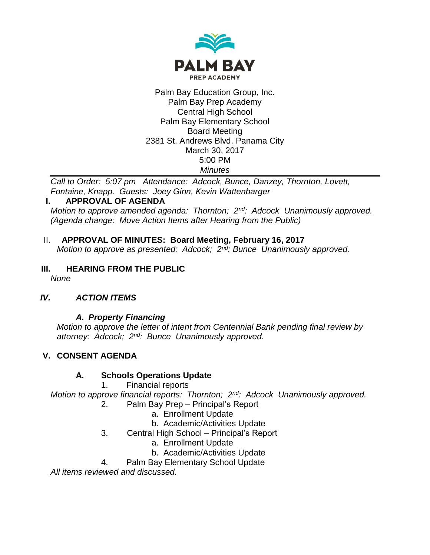

#### Palm Bay Education Group, Inc. Palm Bay Prep Academy Central High School Palm Bay Elementary School Board Meeting 2381 St. Andrews Blvd. Panama City March 30, 2017 5:00 PM *Minutes*

*Call to Order: 5:07 pm Attendance: Adcock, Bunce, Danzey, Thornton, Lovett, Fontaine, Knapp. Guests: Joey Ginn, Kevin Wattenbarger*

#### **I. APPROVAL OF AGENDA**

*Motion to approve amended agenda: Thornton; 2nd: Adcock Unanimously approved. (Agenda change: Move Action Items after Hearing from the Public)*

- II. **APPROVAL OF MINUTES: Board Meeting, February 16, 2017** *Motion to approve as presented: Adcock; 2nd: Bunce Unanimously approved.*
- **III. HEARING FROM THE PUBLIC**

*None*

# *IV. ACTION ITEMS*

# *A. Property Financing*

*Motion to approve the letter of intent from Centennial Bank pending final review by attorney: Adcock; 2nd: Bunce Unanimously approved.*

# **V. CONSENT AGENDA**

# **A. Schools Operations Update**

1. Financial reports

*Motion to approve financial reports: Thornton; 2nd: Adcock Unanimously approved.*

- 2. Palm Bay Prep Principal's Report
	- a. Enrollment Update
	- b. Academic/Activities Update
- 3. Central High School Principal's Report
	- a. Enrollment Update
	- b. Academic/Activities Update
- 4. Palm Bay Elementary School Update

*All items reviewed and discussed.*